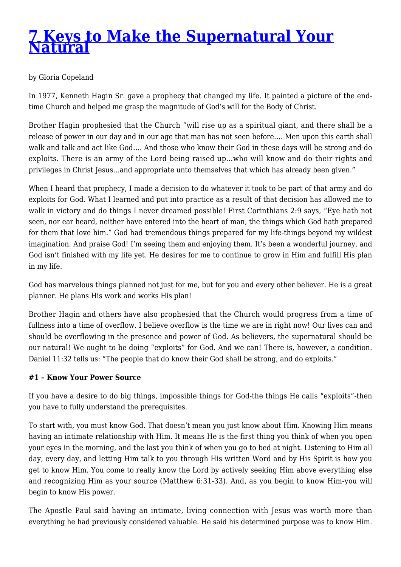# **[7 Keys to Make the Supernatural Your](http://kennethcopelandministries.org/2015/02/7-keys-to-make-the-supernatural-your-natural/) [Natural](http://kennethcopelandministries.org/2015/02/7-keys-to-make-the-supernatural-your-natural/)**

## by Gloria Copeland

In 1977, Kenneth Hagin Sr. gave a prophecy that changed my life. It painted a picture of the endtime Church and helped me grasp the magnitude of God's will for the Body of Christ.

Brother Hagin prophesied that the Church "will rise up as a spiritual giant, and there shall be a release of power in our day and in our age that man has not seen before…. Men upon this earth shall walk and talk and act like God…. And those who know their God in these days will be strong and do exploits. There is an army of the Lord being raised up…who will know and do their rights and privileges in Christ Jesus…and appropriate unto themselves that which has already been given."

When I heard that prophecy, I made a decision to do whatever it took to be part of that army and do exploits for God. What I learned and put into practice as a result of that decision has allowed me to walk in victory and do things I never dreamed possible! First Corinthians 2:9 says, "Eye hath not seen, nor ear heard, neither have entered into the heart of man, the things which God hath prepared for them that love him." God had tremendous things prepared for my life-things beyond my wildest imagination. And praise God! I'm seeing them and enjoying them. It's been a wonderful journey, and God isn't finished with my life yet. He desires for me to continue to grow in Him and fulfill His plan in my life.

God has marvelous things planned not just for me, but for you and every other believer. He is a great planner. He plans His work and works His plan!

Brother Hagin and others have also prophesied that the Church would progress from a time of fullness into a time of overflow. I believe overflow is the time we are in right now! Our lives can and should be overflowing in the presence and power of God. As believers, the supernatural should be our natural! We ought to be doing "exploits" for God. And we can! There is, however, a condition. Daniel 11:32 tells us: "The people that do know their God shall be strong, and do exploits."

## **#1 – Know Your Power Source**

If you have a desire to do big things, impossible things for God-the things He calls "exploits"-then you have to fully understand the prerequisites.

To start with, you must know God. That doesn't mean you just know about Him. Knowing Him means having an intimate relationship with Him. It means He is the first thing you think of when you open your eyes in the morning, and the last you think of when you go to bed at night. Listening to Him all day, every day, and letting Him talk to you through His written Word and by His Spirit is how you get to know Him. You come to really know the Lord by actively seeking Him above everything else and recognizing Him as your source (Matthew 6:31-33). And, as you begin to know Him-you will begin to know His power.

The Apostle Paul said having an intimate, living connection with Jesus was worth more than everything he had previously considered valuable. He said his determined purpose was to know Him.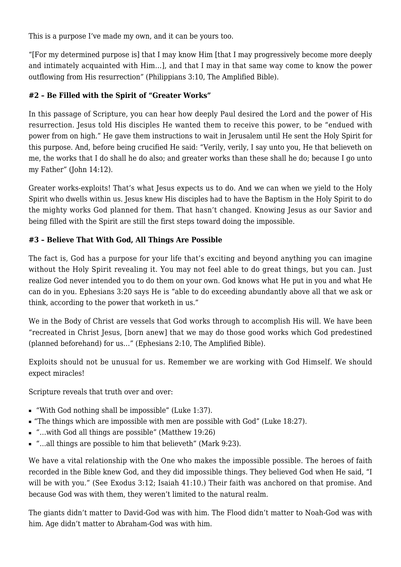This is a purpose I've made my own, and it can be yours too.

"[For my determined purpose is] that I may know Him [that I may progressively become more deeply and intimately acquainted with Him…], and that I may in that same way come to know the power outflowing from His resurrection" (Philippians 3:10, The Amplified Bible).

# **#2 – Be Filled with the Spirit of "Greater Works"**

In this passage of Scripture, you can hear how deeply Paul desired the Lord and the power of His resurrection. Jesus told His disciples He wanted them to receive this power, to be "endued with power from on high." He gave them instructions to wait in Jerusalem until He sent the Holy Spirit for this purpose. And, before being crucified He said: "Verily, verily, I say unto you, He that believeth on me, the works that I do shall he do also; and greater works than these shall he do; because I go unto my Father" (John 14:12).

Greater works-exploits! That's what Jesus expects us to do. And we can when we yield to the Holy Spirit who dwells within us. Jesus knew His disciples had to have the Baptism in the Holy Spirit to do the mighty works God planned for them. That hasn't changed. Knowing Jesus as our Savior and being filled with the Spirit are still the first steps toward doing the impossible.

# **#3 – Believe That With God, All Things Are Possible**

The fact is, God has a purpose for your life that's exciting and beyond anything you can imagine without the Holy Spirit revealing it. You may not feel able to do great things, but you can. Just realize God never intended you to do them on your own. God knows what He put in you and what He can do in you. Ephesians 3:20 says He is "able to do exceeding abundantly above all that we ask or think, according to the power that worketh in us."

We in the Body of Christ are vessels that God works through to accomplish His will. We have been "recreated in Christ Jesus, [born anew] that we may do those good works which God predestined (planned beforehand) for us…" (Ephesians 2:10, The Amplified Bible).

Exploits should not be unusual for us. Remember we are working with God Himself. We should expect miracles!

Scripture reveals that truth over and over:

- "With God nothing shall be impossible" (Luke 1:37).
- "The things which are impossible with men are possible with God" (Luke 18:27).
- "…with God all things are possible" (Matthew 19:26)
- "...all things are possible to him that believeth" (Mark 9:23).

We have a vital relationship with the One who makes the impossible possible. The heroes of faith recorded in the Bible knew God, and they did impossible things. They believed God when He said, "I will be with you." (See Exodus 3:12; Isaiah 41:10.) Their faith was anchored on that promise. And because God was with them, they weren't limited to the natural realm.

The giants didn't matter to David-God was with him. The Flood didn't matter to Noah-God was with him. Age didn't matter to Abraham-God was with him.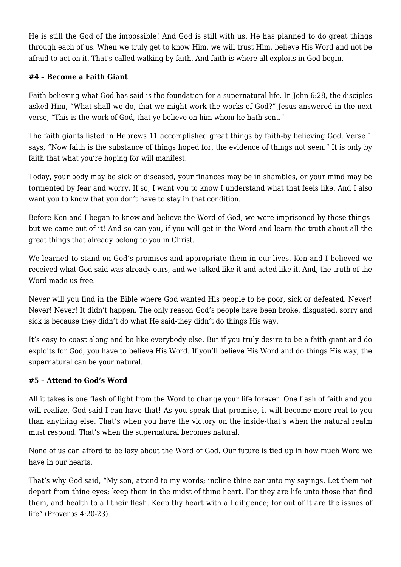He is still the God of the impossible! And God is still with us. He has planned to do great things through each of us. When we truly get to know Him, we will trust Him, believe His Word and not be afraid to act on it. That's called walking by faith. And faith is where all exploits in God begin.

## **#4 – Become a Faith Giant**

Faith-believing what God has said-is the foundation for a supernatural life. In John 6:28, the disciples asked Him, "What shall we do, that we might work the works of God?" Jesus answered in the next verse, "This is the work of God, that ye believe on him whom he hath sent."

The faith giants listed in Hebrews 11 accomplished great things by faith-by believing God. Verse 1 says, "Now faith is the substance of things hoped for, the evidence of things not seen." It is only by faith that what you're hoping for will manifest.

Today, your body may be sick or diseased, your finances may be in shambles, or your mind may be tormented by fear and worry. If so, I want you to know I understand what that feels like. And I also want you to know that you don't have to stay in that condition.

Before Ken and I began to know and believe the Word of God, we were imprisoned by those thingsbut we came out of it! And so can you, if you will get in the Word and learn the truth about all the great things that already belong to you in Christ.

We learned to stand on God's promises and appropriate them in our lives. Ken and I believed we received what God said was already ours, and we talked like it and acted like it. And, the truth of the Word made us free.

Never will you find in the Bible where God wanted His people to be poor, sick or defeated. Never! Never! Never! It didn't happen. The only reason God's people have been broke, disgusted, sorry and sick is because they didn't do what He said-they didn't do things His way.

It's easy to coast along and be like everybody else. But if you truly desire to be a faith giant and do exploits for God, you have to believe His Word. If you'll believe His Word and do things His way, the supernatural can be your natural.

## **#5 – Attend to God's Word**

All it takes is one flash of light from the Word to change your life forever. One flash of faith and you will realize, God said I can have that! As you speak that promise, it will become more real to you than anything else. That's when you have the victory on the inside-that's when the natural realm must respond. That's when the supernatural becomes natural.

None of us can afford to be lazy about the Word of God. Our future is tied up in how much Word we have in our hearts.

That's why God said, "My son, attend to my words; incline thine ear unto my sayings. Let them not depart from thine eyes; keep them in the midst of thine heart. For they are life unto those that find them, and health to all their flesh. Keep thy heart with all diligence; for out of it are the issues of life" (Proverbs 4:20-23).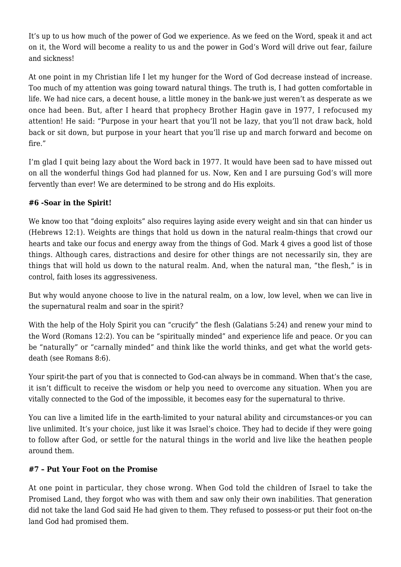It's up to us how much of the power of God we experience. As we feed on the Word, speak it and act on it, the Word will become a reality to us and the power in God's Word will drive out fear, failure and sickness!

At one point in my Christian life I let my hunger for the Word of God decrease instead of increase. Too much of my attention was going toward natural things. The truth is, I had gotten comfortable in life. We had nice cars, a decent house, a little money in the bank-we just weren't as desperate as we once had been. But, after I heard that prophecy Brother Hagin gave in 1977, I refocused my attention! He said: "Purpose in your heart that you'll not be lazy, that you'll not draw back, hold back or sit down, but purpose in your heart that you'll rise up and march forward and become on fire."

I'm glad I quit being lazy about the Word back in 1977. It would have been sad to have missed out on all the wonderful things God had planned for us. Now, Ken and I are pursuing God's will more fervently than ever! We are determined to be strong and do His exploits.

## **#6 -Soar in the Spirit!**

We know too that "doing exploits" also requires laying aside every weight and sin that can hinder us (Hebrews 12:1). Weights are things that hold us down in the natural realm-things that crowd our hearts and take our focus and energy away from the things of God. Mark 4 gives a good list of those things. Although cares, distractions and desire for other things are not necessarily sin, they are things that will hold us down to the natural realm. And, when the natural man, "the flesh," is in control, faith loses its aggressiveness.

But why would anyone choose to live in the natural realm, on a low, low level, when we can live in the supernatural realm and soar in the spirit?

With the help of the Holy Spirit you can "crucify" the flesh (Galatians 5:24) and renew your mind to the Word (Romans 12:2). You can be "spiritually minded" and experience life and peace. Or you can be "naturally" or "carnally minded" and think like the world thinks, and get what the world getsdeath (see Romans 8:6).

Your spirit-the part of you that is connected to God-can always be in command. When that's the case, it isn't difficult to receive the wisdom or help you need to overcome any situation. When you are vitally connected to the God of the impossible, it becomes easy for the supernatural to thrive.

You can live a limited life in the earth-limited to your natural ability and circumstances-or you can live unlimited. It's your choice, just like it was Israel's choice. They had to decide if they were going to follow after God, or settle for the natural things in the world and live like the heathen people around them.

## **#7 – Put Your Foot on the Promise**

At one point in particular, they chose wrong. When God told the children of Israel to take the Promised Land, they forgot who was with them and saw only their own inabilities. That generation did not take the land God said He had given to them. They refused to possess-or put their foot on-the land God had promised them.